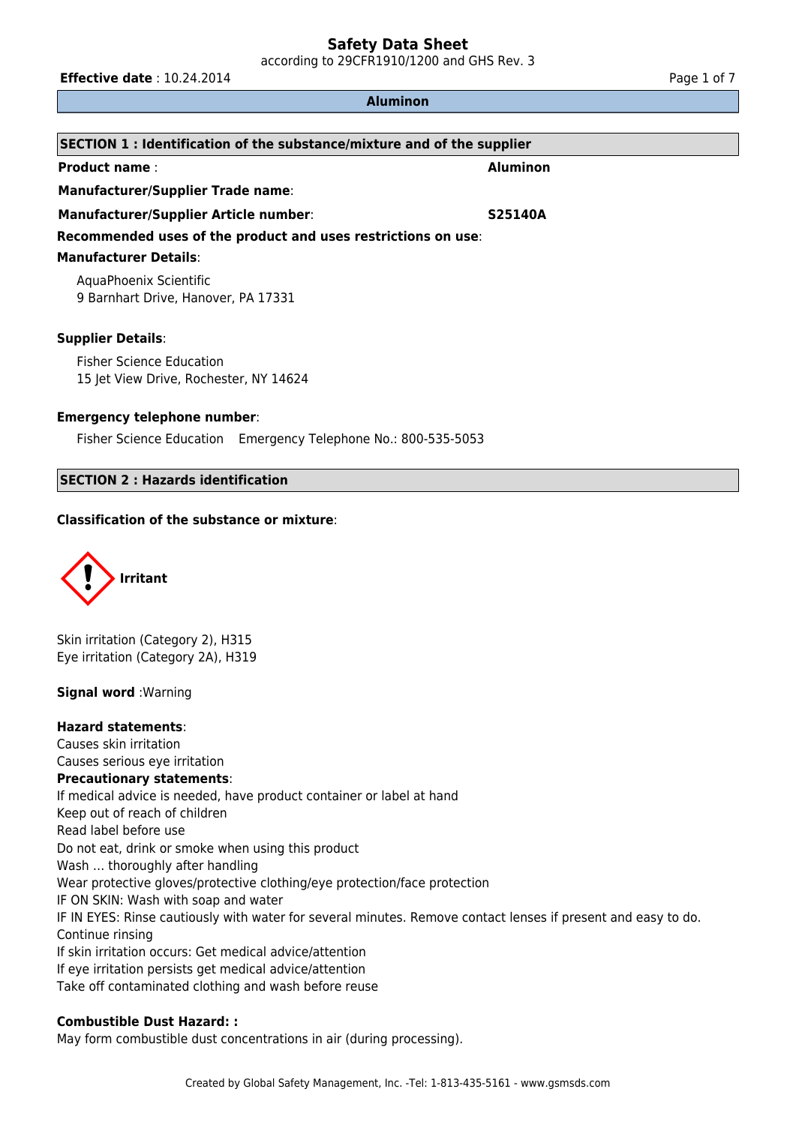according to 29CFR1910/1200 and GHS Rev. 3

**Effective date** : 10.24.2014 **Page 1 of 7 Page 1 of 7** 

### **Aluminon**

| SECTION 1: Identification of the substance/mixture and of the supplier    |                 |  |  |
|---------------------------------------------------------------------------|-----------------|--|--|
| <b>Product name:</b>                                                      | <b>Aluminon</b> |  |  |
| <b>Manufacturer/Supplier Trade name:</b>                                  |                 |  |  |
| <b>Manufacturer/Supplier Article number:</b><br><b>S25140A</b>            |                 |  |  |
| Recommended uses of the product and uses restrictions on use:             |                 |  |  |
| <b>Manufacturer Details:</b>                                              |                 |  |  |
| AquaPhoenix Scientific<br>9 Barnhart Drive, Hanover, PA 17331             |                 |  |  |
| <b>Supplier Details:</b>                                                  |                 |  |  |
| <b>Fisher Science Education</b><br>15 Jet View Drive, Rochester, NY 14624 |                 |  |  |

# **Emergency telephone number**:

Fisher Science Education Emergency Telephone No.: 800-535-5053

# **SECTION 2 : Hazards identification**

# **Classification of the substance or mixture**:



Skin irritation (Category 2), H315 Eye irritation (Category 2A), H319

# **Signal word** :Warning

### **Hazard statements**:

Causes skin irritation Causes serious eye irritation **Precautionary statements**: If medical advice is needed, have product container or label at hand Keep out of reach of children Read label before use Do not eat, drink or smoke when using this product Wash … thoroughly after handling Wear protective gloves/protective clothing/eye protection/face protection IF ON SKIN: Wash with soap and water IF IN EYES: Rinse cautiously with water for several minutes. Remove contact lenses if present and easy to do. Continue rinsing If skin irritation occurs: Get medical advice/attention If eye irritation persists get medical advice/attention Take off contaminated clothing and wash before reuse

### **Combustible Dust Hazard: :**

May form combustible dust concentrations in air (during processing).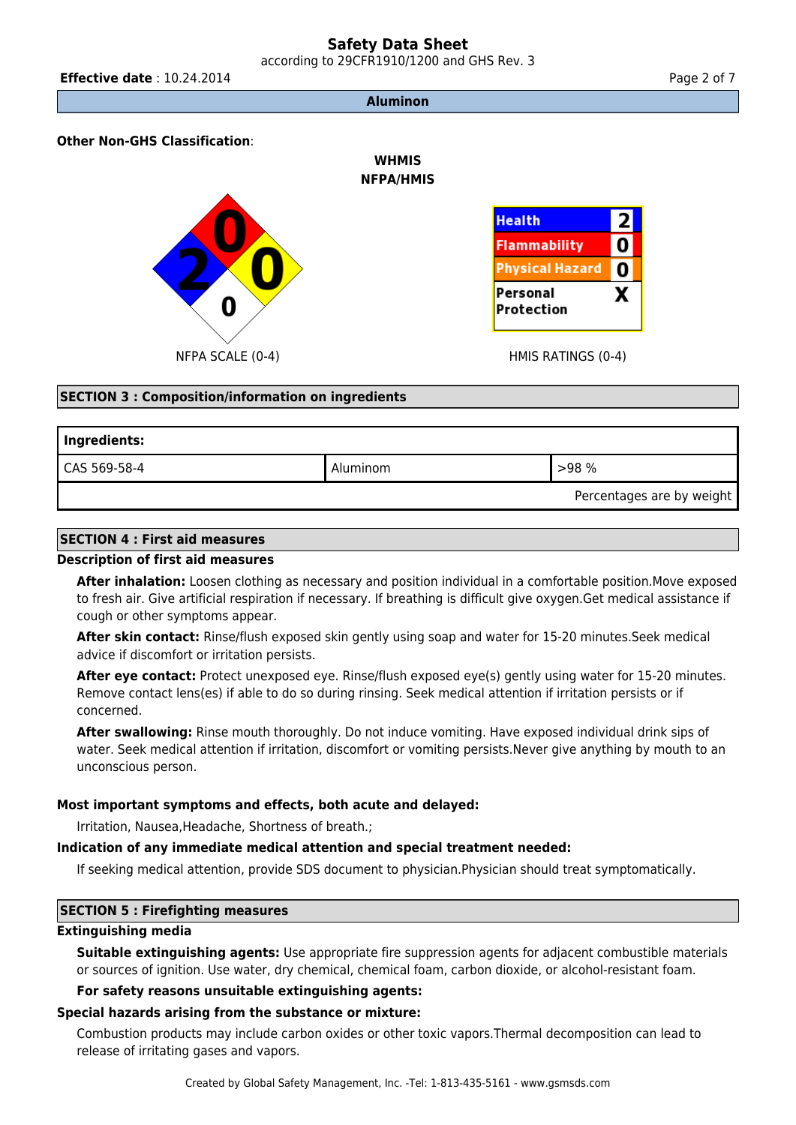according to 29CFR1910/1200 and GHS Rev. 3

**Aluminon**

**WHMIS NFPA/HMIS**

# **Other Non-GHS Classification**:





# **SECTION 3 : Composition/information on ingredients**

| Ingredients: |          |                           |
|--------------|----------|---------------------------|
| CAS 569-58-4 | Aluminom | >98%                      |
|              |          | Percentages are by weight |

# **SECTION 4 : First aid measures**

### **Description of first aid measures**

**After inhalation:** Loosen clothing as necessary and position individual in a comfortable position.Move exposed to fresh air. Give artificial respiration if necessary. If breathing is difficult give oxygen.Get medical assistance if cough or other symptoms appear.

**After skin contact:** Rinse/flush exposed skin gently using soap and water for 15-20 minutes.Seek medical advice if discomfort or irritation persists.

**After eye contact:** Protect unexposed eye. Rinse/flush exposed eye(s) gently using water for 15-20 minutes. Remove contact lens(es) if able to do so during rinsing. Seek medical attention if irritation persists or if concerned.

**After swallowing:** Rinse mouth thoroughly. Do not induce vomiting. Have exposed individual drink sips of water. Seek medical attention if irritation, discomfort or vomiting persists.Never give anything by mouth to an unconscious person.

# **Most important symptoms and effects, both acute and delayed:**

Irritation, Nausea,Headache, Shortness of breath.;

### **Indication of any immediate medical attention and special treatment needed:**

If seeking medical attention, provide SDS document to physician.Physician should treat symptomatically.

### **SECTION 5 : Firefighting measures**

# **Extinguishing media**

**Suitable extinguishing agents:** Use appropriate fire suppression agents for adjacent combustible materials or sources of ignition. Use water, dry chemical, chemical foam, carbon dioxide, or alcohol-resistant foam.

# **For safety reasons unsuitable extinguishing agents:**

# **Special hazards arising from the substance or mixture:**

Combustion products may include carbon oxides or other toxic vapors.Thermal decomposition can lead to release of irritating gases and vapors.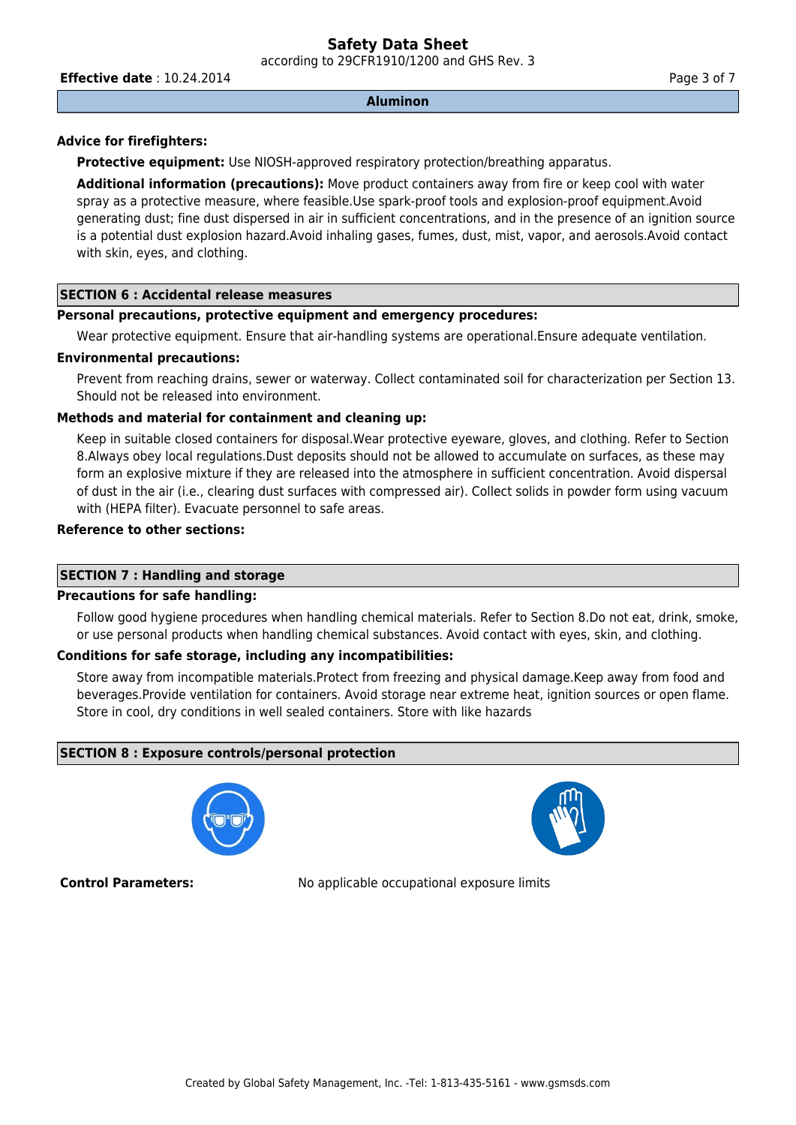according to 29CFR1910/1200 and GHS Rev. 3

**Effective date** : 10.24.2014 **Page 3 of 7 Page 3 of 7** 

#### **Aluminon**

# **Advice for firefighters:**

**Protective equipment:** Use NIOSH-approved respiratory protection/breathing apparatus.

**Additional information (precautions):** Move product containers away from fire or keep cool with water spray as a protective measure, where feasible.Use spark-proof tools and explosion-proof equipment.Avoid generating dust; fine dust dispersed in air in sufficient concentrations, and in the presence of an ignition source is a potential dust explosion hazard.Avoid inhaling gases, fumes, dust, mist, vapor, and aerosols.Avoid contact with skin, eyes, and clothing.

# **SECTION 6 : Accidental release measures**

### **Personal precautions, protective equipment and emergency procedures:**

Wear protective equipment. Ensure that air-handling systems are operational.Ensure adequate ventilation.

### **Environmental precautions:**

Prevent from reaching drains, sewer or waterway. Collect contaminated soil for characterization per Section 13. Should not be released into environment.

### **Methods and material for containment and cleaning up:**

Keep in suitable closed containers for disposal.Wear protective eyeware, gloves, and clothing. Refer to Section 8.Always obey local regulations.Dust deposits should not be allowed to accumulate on surfaces, as these may form an explosive mixture if they are released into the atmosphere in sufficient concentration. Avoid dispersal of dust in the air (i.e., clearing dust surfaces with compressed air). Collect solids in powder form using vacuum with (HEPA filter). Evacuate personnel to safe areas.

### **Reference to other sections:**

### **SECTION 7 : Handling and storage**

# **Precautions for safe handling:**

Follow good hygiene procedures when handling chemical materials. Refer to Section 8.Do not eat, drink, smoke, or use personal products when handling chemical substances. Avoid contact with eyes, skin, and clothing.

# **Conditions for safe storage, including any incompatibilities:**

Store away from incompatible materials.Protect from freezing and physical damage.Keep away from food and beverages.Provide ventilation for containers. Avoid storage near extreme heat, ignition sources or open flame. Store in cool, dry conditions in well sealed containers. Store with like hazards

# **SECTION 8 : Exposure controls/personal protection**





**Control Parameters:** No applicable occupational exposure limits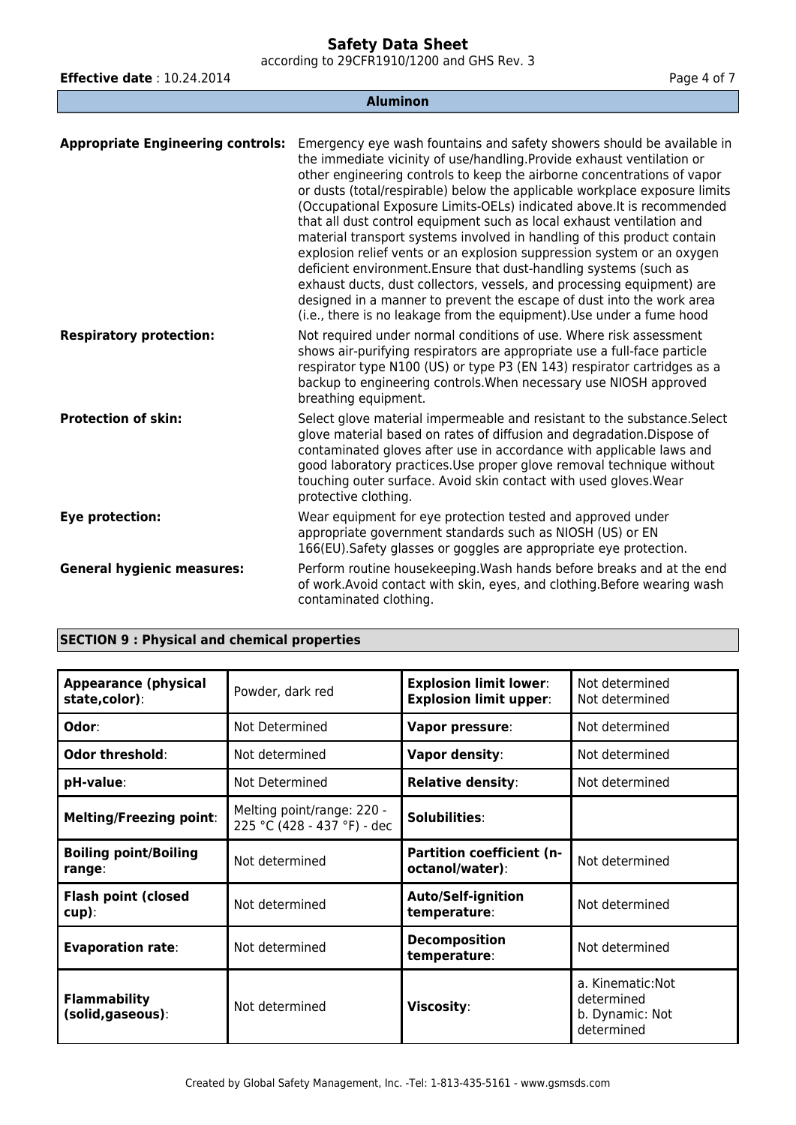according to 29CFR1910/1200 and GHS Rev. 3

**Aluminon**

**Effective date** : 10.24.2014 **Page 4 of 7 Page 4 of 7** 

| <b>Appropriate Engineering controls:</b> | Emergency eye wash fountains and safety showers should be available in<br>the immediate vicinity of use/handling. Provide exhaust ventilation or<br>other engineering controls to keep the airborne concentrations of vapor<br>or dusts (total/respirable) below the applicable workplace exposure limits<br>(Occupational Exposure Limits-OELs) indicated above. It is recommended<br>that all dust control equipment such as local exhaust ventilation and<br>material transport systems involved in handling of this product contain<br>explosion relief vents or an explosion suppression system or an oxygen<br>deficient environment. Ensure that dust-handling systems (such as<br>exhaust ducts, dust collectors, vessels, and processing equipment) are<br>designed in a manner to prevent the escape of dust into the work area<br>(i.e., there is no leakage from the equipment). Use under a fume hood |
|------------------------------------------|--------------------------------------------------------------------------------------------------------------------------------------------------------------------------------------------------------------------------------------------------------------------------------------------------------------------------------------------------------------------------------------------------------------------------------------------------------------------------------------------------------------------------------------------------------------------------------------------------------------------------------------------------------------------------------------------------------------------------------------------------------------------------------------------------------------------------------------------------------------------------------------------------------------------|
| <b>Respiratory protection:</b>           | Not required under normal conditions of use. Where risk assessment<br>shows air-purifying respirators are appropriate use a full-face particle<br>respirator type N100 (US) or type P3 (EN 143) respirator cartridges as a<br>backup to engineering controls. When necessary use NIOSH approved<br>breathing equipment.                                                                                                                                                                                                                                                                                                                                                                                                                                                                                                                                                                                            |
| <b>Protection of skin:</b>               | Select glove material impermeable and resistant to the substance. Select<br>glove material based on rates of diffusion and degradation. Dispose of<br>contaminated gloves after use in accordance with applicable laws and<br>good laboratory practices. Use proper glove removal technique without<br>touching outer surface. Avoid skin contact with used gloves. Wear<br>protective clothing.                                                                                                                                                                                                                                                                                                                                                                                                                                                                                                                   |
| Eye protection:                          | Wear equipment for eye protection tested and approved under<br>appropriate government standards such as NIOSH (US) or EN<br>166(EU). Safety glasses or goggles are appropriate eye protection.                                                                                                                                                                                                                                                                                                                                                                                                                                                                                                                                                                                                                                                                                                                     |
| <b>General hygienic measures:</b>        | Perform routine housekeeping. Wash hands before breaks and at the end<br>of work. Avoid contact with skin, eyes, and clothing. Before wearing wash<br>contaminated clothing.                                                                                                                                                                                                                                                                                                                                                                                                                                                                                                                                                                                                                                                                                                                                       |

|  |  | <b>SECTION 9: Physical and chemical properties</b> |  |
|--|--|----------------------------------------------------|--|
|--|--|----------------------------------------------------|--|

| <b>Appearance (physical</b><br>state,color): | Powder, dark red                                          | <b>Explosion limit lower:</b><br><b>Explosion limit upper:</b> | Not determined<br>Not determined                                 |
|----------------------------------------------|-----------------------------------------------------------|----------------------------------------------------------------|------------------------------------------------------------------|
| Odor:                                        | Not Determined                                            | Vapor pressure:                                                | Not determined                                                   |
| Odor threshold:                              | Not determined                                            | Vapor density:                                                 | Not determined                                                   |
| pH-value:                                    | Not Determined                                            | <b>Relative density:</b>                                       | Not determined                                                   |
| <b>Melting/Freezing point:</b>               | Melting point/range: 220 -<br>225 °C (428 - 437 °F) - dec | Solubilities:                                                  |                                                                  |
| <b>Boiling point/Boiling</b><br>range:       | Not determined                                            | <b>Partition coefficient (n-</b><br>octanol/water):            | Not determined                                                   |
| <b>Flash point (closed</b><br>cup):          | Not determined                                            | <b>Auto/Self-ignition</b><br>temperature:                      | Not determined                                                   |
| <b>Evaporation rate:</b>                     | Not determined                                            | <b>Decomposition</b><br>temperature:                           | Not determined                                                   |
| <b>Flammability</b><br>(solid, gaseous):     | Not determined                                            | Viscosity:                                                     | a. Kinematic: Not<br>determined<br>b. Dynamic: Not<br>determined |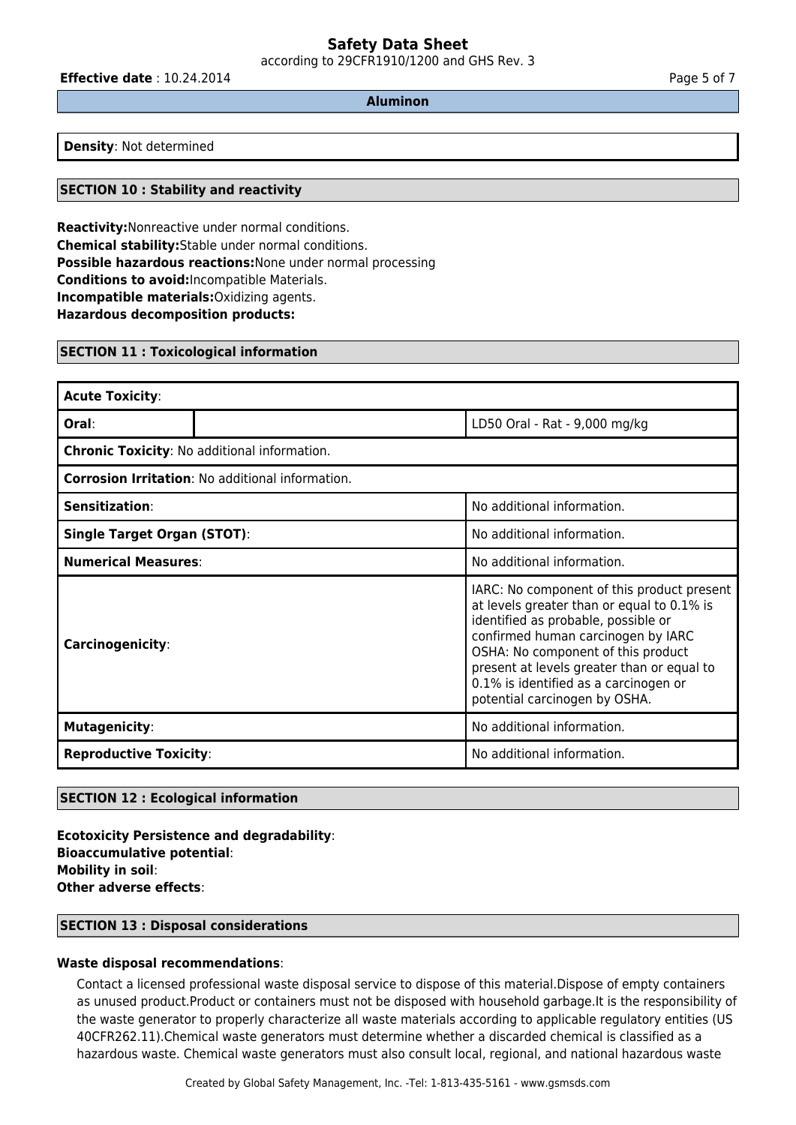according to 29CFR1910/1200 and GHS Rev. 3

**Effective date** : 10.24.2014 **Page 5 of 7 Page 5 of 7** 

**Aluminon**

**Density**: Not determined

# **SECTION 10 : Stability and reactivity**

**Reactivity:**Nonreactive under normal conditions. **Chemical stability:**Stable under normal conditions. **Possible hazardous reactions:**None under normal processing **Conditions to avoid:**Incompatible Materials. **Incompatible materials:**Oxidizing agents. **Hazardous decomposition products:**

### **SECTION 11 : Toxicological information**

| <b>Acute Toxicity:</b>                                  |  |                                                                                                                                                                                                                                                                                                                                     |  |
|---------------------------------------------------------|--|-------------------------------------------------------------------------------------------------------------------------------------------------------------------------------------------------------------------------------------------------------------------------------------------------------------------------------------|--|
| Oral:                                                   |  | LD50 Oral - Rat - 9,000 mg/kg                                                                                                                                                                                                                                                                                                       |  |
| <b>Chronic Toxicity: No additional information.</b>     |  |                                                                                                                                                                                                                                                                                                                                     |  |
| <b>Corrosion Irritation: No additional information.</b> |  |                                                                                                                                                                                                                                                                                                                                     |  |
| Sensitization:                                          |  | No additional information.                                                                                                                                                                                                                                                                                                          |  |
| <b>Single Target Organ (STOT):</b>                      |  | No additional information.                                                                                                                                                                                                                                                                                                          |  |
| <b>Numerical Measures:</b>                              |  | No additional information.                                                                                                                                                                                                                                                                                                          |  |
| Carcinogenicity:                                        |  | IARC: No component of this product present<br>at levels greater than or equal to 0.1% is<br>identified as probable, possible or<br>confirmed human carcinogen by IARC<br>OSHA: No component of this product<br>present at levels greater than or equal to<br>0.1% is identified as a carcinogen or<br>potential carcinogen by OSHA. |  |
| <b>Mutagenicity:</b>                                    |  | No additional information.                                                                                                                                                                                                                                                                                                          |  |
| <b>Reproductive Toxicity:</b>                           |  | No additional information.                                                                                                                                                                                                                                                                                                          |  |

### **SECTION 12 : Ecological information**

**Ecotoxicity Persistence and degradability**: **Bioaccumulative potential**: **Mobility in soil**: **Other adverse effects**:

### **SECTION 13 : Disposal considerations**

# **Waste disposal recommendations**:

Contact a licensed professional waste disposal service to dispose of this material.Dispose of empty containers as unused product.Product or containers must not be disposed with household garbage.It is the responsibility of the waste generator to properly characterize all waste materials according to applicable regulatory entities (US 40CFR262.11).Chemical waste generators must determine whether a discarded chemical is classified as a hazardous waste. Chemical waste generators must also consult local, regional, and national hazardous waste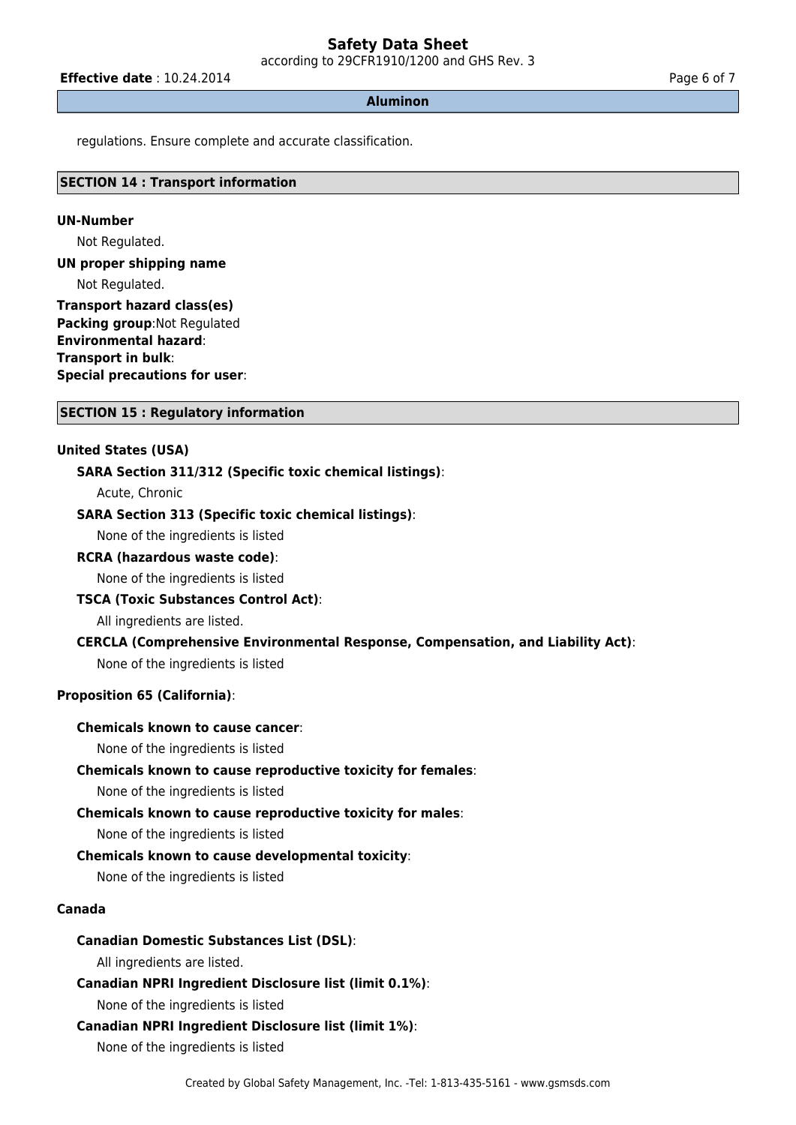according to 29CFR1910/1200 and GHS Rev. 3

**Effective date** : 10.24.2014 **Page 6 of 7 Page 6 of 7** 

#### **Aluminon**

regulations. Ensure complete and accurate classification.

# **SECTION 14 : Transport information**

#### **UN-Number**

Not Regulated.

**UN proper shipping name**

Not Regulated.

**Transport hazard class(es) Packing group**:Not Regulated **Environmental hazard**: **Transport in bulk**: **Special precautions for user**:

#### **SECTION 15 : Regulatory information**

### **United States (USA)**

### **SARA Section 311/312 (Specific toxic chemical listings)**:

Acute, Chronic

### **SARA Section 313 (Specific toxic chemical listings)**:

None of the ingredients is listed

**RCRA (hazardous waste code)**:

None of the ingredients is listed

#### **TSCA (Toxic Substances Control Act)**:

All ingredients are listed.

# **CERCLA (Comprehensive Environmental Response, Compensation, and Liability Act)**:

None of the ingredients is listed

### **Proposition 65 (California)**:

# **Chemicals known to cause cancer**:

None of the ingredients is listed

### **Chemicals known to cause reproductive toxicity for females**:

None of the ingredients is listed

### **Chemicals known to cause reproductive toxicity for males**:

None of the ingredients is listed

### **Chemicals known to cause developmental toxicity**:

None of the ingredients is listed

#### **Canada**

### **Canadian Domestic Substances List (DSL)**:

All ingredients are listed.

**Canadian NPRI Ingredient Disclosure list (limit 0.1%)**:

None of the ingredients is listed

### **Canadian NPRI Ingredient Disclosure list (limit 1%)**:

None of the ingredients is listed